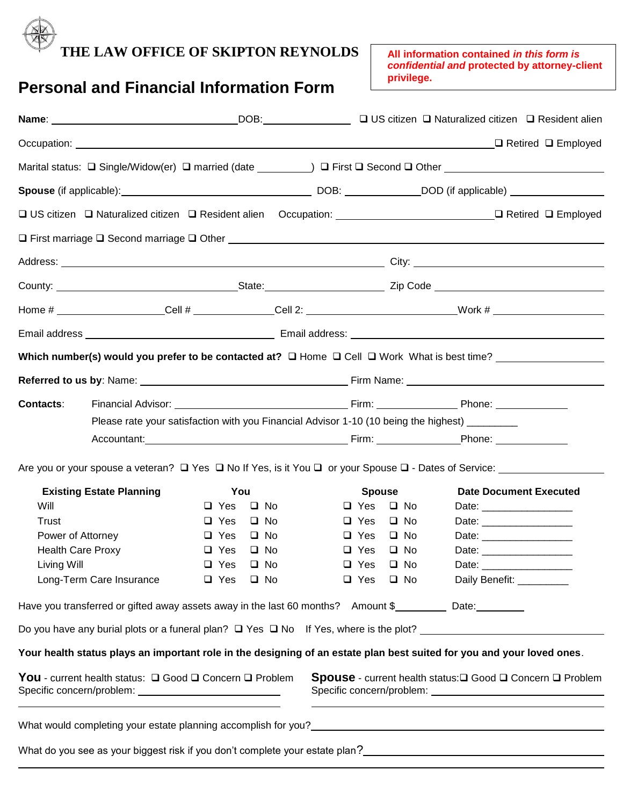**THE LAW OFFICE OF SKIPTON REYNOLDS**

**All information contained** *in this form is confidential and* **protected by attorney-client privilege.**

# **Personal and Financial Information Form**

|                          |                                                         |                            |                            | □ US citizen □ Naturalized citizen □ Resident alien                                                                                                                                                                                                                                                                                                                                                                                               |
|--------------------------|---------------------------------------------------------|----------------------------|----------------------------|---------------------------------------------------------------------------------------------------------------------------------------------------------------------------------------------------------------------------------------------------------------------------------------------------------------------------------------------------------------------------------------------------------------------------------------------------|
|                          |                                                         |                            |                            | $\Box$ Retired $\Box$ Employed                                                                                                                                                                                                                                                                                                                                                                                                                    |
|                          |                                                         |                            |                            | Marital status: □ Single/Widow(er) □ married (date _________) □ First □ Second □ Other                                                                                                                                                                                                                                                                                                                                                            |
|                          |                                                         |                            |                            |                                                                                                                                                                                                                                                                                                                                                                                                                                                   |
|                          |                                                         |                            |                            | □ US citizen □ Naturalized citizen □ Resident alien Occupation: ___________________________________ □ Retired □ Employed                                                                                                                                                                                                                                                                                                                          |
|                          |                                                         |                            |                            | $\square$ First marriage $\square$ Second marriage $\square$ Other $\square$                                                                                                                                                                                                                                                                                                                                                                      |
|                          |                                                         |                            |                            |                                                                                                                                                                                                                                                                                                                                                                                                                                                   |
|                          |                                                         |                            |                            | County: County: County: County: County: County: County: County: County: County: County: County: County: County: County: County: County: County: County: County: County: County: County: County: County: County: County: County                                                                                                                                                                                                                    |
|                          |                                                         |                            |                            | Home # _____________________Cell # ______________Cell 2: ____________________________Work # __________________                                                                                                                                                                                                                                                                                                                                    |
|                          |                                                         |                            |                            |                                                                                                                                                                                                                                                                                                                                                                                                                                                   |
|                          |                                                         |                            |                            | Which number(s) would you prefer to be contacted at? $\Box$ Home $\Box$ Cell $\Box$ Work What is best time?                                                                                                                                                                                                                                                                                                                                       |
|                          |                                                         |                            |                            |                                                                                                                                                                                                                                                                                                                                                                                                                                                   |
| <b>Contacts:</b>         |                                                         |                            |                            | Please rate your satisfaction with you Financial Advisor 1-10 (10 being the highest) ________<br>Accountant: Phone: Phone: Phone: Phone: Phone: Phone: Phone: Phone: Phone: Phone: Phone: Phone: Phone: Phone: Phone: Phone: Phone: Phone: Phone: Phone: Phone: Phone: Phone: Phone: Phone: Phone: Phone: Phone: Phone: Phone:<br>Are you or your spouse a veteran? □ Yes □ No If Yes, is it You □ or your Spouse □ - Dates of Service: _________ |
|                          | <b>Existing Estate Planning</b>                         | You                        | <b>Spouse</b>              | <b>Date Document Executed</b>                                                                                                                                                                                                                                                                                                                                                                                                                     |
| Will                     |                                                         | $\Box$ Yes<br>□ No         | $\Box$ Yes $\Box$ No       |                                                                                                                                                                                                                                                                                                                                                                                                                                                   |
| Trust                    |                                                         | $\Box$ Yes $\Box$ No       | $\Box$ Yes $\Box$ No       |                                                                                                                                                                                                                                                                                                                                                                                                                                                   |
| Power of Attorney        |                                                         | $\Box$ Yes<br>$\square$ No | $\Box$ Yes<br>$\square$ No | Date: ___________________                                                                                                                                                                                                                                                                                                                                                                                                                         |
| <b>Health Care Proxy</b> |                                                         | $\Box$ Yes<br>$\Box$ No    | $\Box$ Yes<br>$\Box$ No    |                                                                                                                                                                                                                                                                                                                                                                                                                                                   |
| Living Will              |                                                         | $\Box$ Yes<br>$\Box$ No    | $\Box$ Yes<br>$\square$ No | Date: ______________                                                                                                                                                                                                                                                                                                                                                                                                                              |
|                          | Long-Term Care Insurance                                | $\Box$ Yes $\Box$ No       | $\Box$ Yes $\Box$ No       | Daily Benefit: <b>Naillange School</b>                                                                                                                                                                                                                                                                                                                                                                                                            |
|                          |                                                         |                            |                            | Have you transferred or gifted away assets away in the last 60 months? Amount \$_________ Date: Date:                                                                                                                                                                                                                                                                                                                                             |
|                          |                                                         |                            |                            | Do you have any burial plots or a funeral plan? □ Yes □ No If Yes, where is the plot? _________________________                                                                                                                                                                                                                                                                                                                                   |
|                          |                                                         |                            |                            | Your health status plays an important role in the designing of an estate plan best suited for you and your loved ones.                                                                                                                                                                                                                                                                                                                            |
|                          | You - current health status: □ Good □ Concern □ Problem |                            |                            | Spouse - current health status: Q Good Q Concern Q Problem                                                                                                                                                                                                                                                                                                                                                                                        |
|                          |                                                         |                            |                            | What would completing your estate planning accomplish for you?<br>Notation and the completion of the complete the complete that we have a set of the complete the complete the c                                                                                                                                                                                                                                                                  |
|                          |                                                         |                            |                            | What do you see as your biggest risk if you don't complete your estate plan?<br>What do you see as your biggest risk if you don't complete your estate plan?<br>2010                                                                                                                                                                                                                                                                              |
|                          |                                                         |                            |                            |                                                                                                                                                                                                                                                                                                                                                                                                                                                   |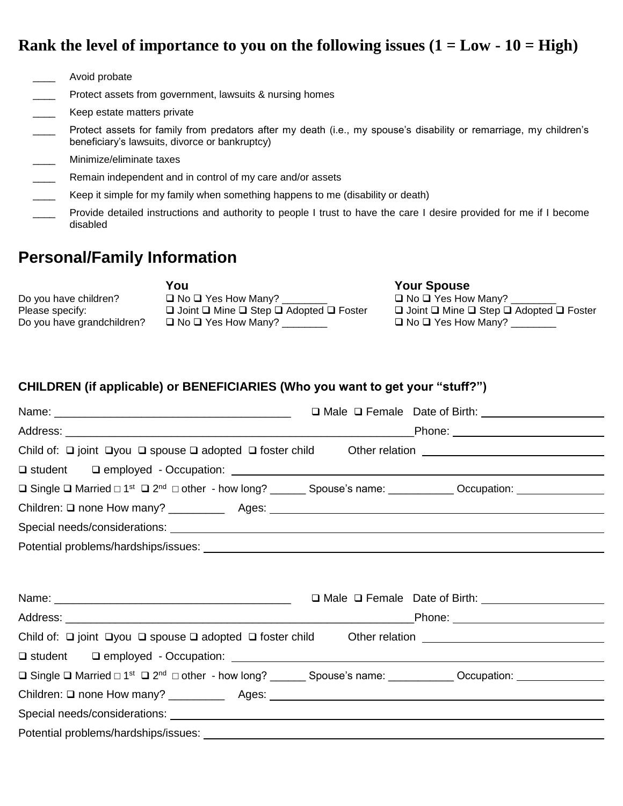# **Rank the level of importance to you on the following issues**  $(1 = Low - 10 = High)$

- Avoid probate
- Protect assets from government, lawsuits & nursing homes
- \_\_\_\_\_ Keep estate matters private
- Protect assets for family from predators after my death (i.e., my spouse's disability or remarriage, my children's beneficiary's lawsuits, divorce or bankruptcy)
- Minimize/eliminate taxes
- **Number 2014** Remain independent and in control of my care and/or assets
- \_\_\_\_ Keep it simple for my family when something happens to me (disability or death)
- Provide detailed instructions and authority to people I trust to have the care I desire provided for me if I become disabled

# **Personal/Family Information**

**Your Spouse**<br> **□** No **□** Yes How Many? \_\_\_\_\_\_\_\_\_ Yes How Many? \_ Do you have children?  $\Box$  No  $\Box$  Yes How Many?  $\Box$ Please specify:<br>  $\Box$  Joint  $\Box$  Joint  $\Box$  Mine  $\Box$  Step  $\Box$  Adopted  $\Box$  Foster  $\Box$  Joint  $\Box$  Mine  $\Box$  Step  $\Box$  Adopted  $\Box$  Foster  $\Box$  No  $\Box$  Yes How Manv? Do you have grandchildren?  $\Box$  No  $\Box$  Yes How Many? \_\_\_\_\_\_\_\_\_  $\Box$  No  $\Box$  Yes How Many? \_\_\_\_\_\_\_

#### **CHILDREN (if applicable) or BENEFICIARIES (Who you want to get your "stuff?")**

| Child of: □ joint □you □ spouse □ adopted □ foster child Other relation ___________________________                                     |
|-----------------------------------------------------------------------------------------------------------------------------------------|
|                                                                                                                                         |
| □ Single □ Married □ 1 <sup>st</sup> □ 2 <sup>nd</sup> □ other - how long? _______ Spouse's name: ___________ Occupation: _____________ |
|                                                                                                                                         |
|                                                                                                                                         |
|                                                                                                                                         |
|                                                                                                                                         |
|                                                                                                                                         |
|                                                                                                                                         |
| _Phone: ____________________________                                                                                                    |
| Child of: $\Box$ joint $\Box$ you $\Box$ spouse $\Box$ adopted $\Box$ foster child $\Box$ Other relation $\Box$                         |
|                                                                                                                                         |
| □ Single □ Married □ 1 <sup>st</sup> □ 2 <sup>nd</sup> □ other - how long? _______ Spouse's name: ___________ Occupation: _____________ |
|                                                                                                                                         |
|                                                                                                                                         |
|                                                                                                                                         |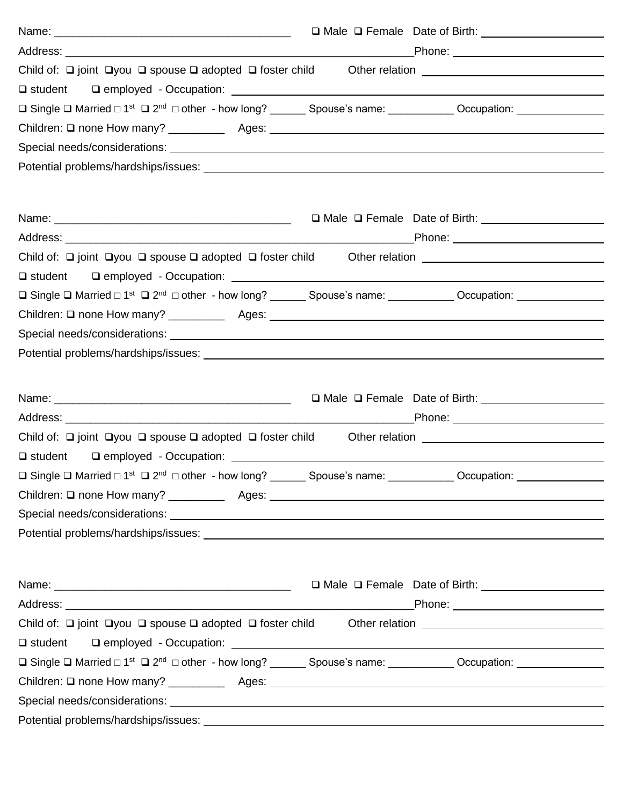| Child of: $\Box$ joint $\Box$ you $\Box$ spouse $\Box$ adopted $\Box$ foster child Other relation $\Box$                                 |                                                                                                                                                                                                      |
|------------------------------------------------------------------------------------------------------------------------------------------|------------------------------------------------------------------------------------------------------------------------------------------------------------------------------------------------------|
|                                                                                                                                          |                                                                                                                                                                                                      |
| □ Single □ Married □ 1 <sup>st</sup> □ 2 <sup>nd</sup> □ other - how long? _______ Spouse's name: ___________ Occupation: ______________ |                                                                                                                                                                                                      |
| Children: Q none How many? ____________ Ages: ___________________________________                                                        |                                                                                                                                                                                                      |
|                                                                                                                                          |                                                                                                                                                                                                      |
|                                                                                                                                          |                                                                                                                                                                                                      |
|                                                                                                                                          |                                                                                                                                                                                                      |
|                                                                                                                                          | □ Male □ Female Date of Birth: <u>University Male Of Birth:</u>                                                                                                                                      |
|                                                                                                                                          |                                                                                                                                                                                                      |
| Child of: □ joint □you □ spouse □ adopted □ foster child Other relation ___________________________                                      |                                                                                                                                                                                                      |
|                                                                                                                                          |                                                                                                                                                                                                      |
| □ Single □ Married □ 1 <sup>st</sup> □ 2 <sup>nd</sup> □ other - how long? _______ Spouse's name: ___________ Occupation: ______________ |                                                                                                                                                                                                      |
|                                                                                                                                          |                                                                                                                                                                                                      |
|                                                                                                                                          |                                                                                                                                                                                                      |
|                                                                                                                                          |                                                                                                                                                                                                      |
|                                                                                                                                          |                                                                                                                                                                                                      |
|                                                                                                                                          |                                                                                                                                                                                                      |
|                                                                                                                                          |                                                                                                                                                                                                      |
| Child of: $\Box$ joint $\Box$ you $\Box$ spouse $\Box$ adopted $\Box$ foster child                                                       |                                                                                                                                                                                                      |
|                                                                                                                                          |                                                                                                                                                                                                      |
| □ Single □ Married □ 1 <sup>st</sup> □ 2 <sup>nd</sup> □ other - how long? ________ Spouse's name: _                                     | Occupation: _<br>$\mathcal{L}^{\mathcal{L}}(\mathcal{L}^{\mathcal{L}})$ and $\mathcal{L}^{\mathcal{L}}(\mathcal{L}^{\mathcal{L}})$ . Then, if $\mathcal{L}^{\mathcal{L}}(\mathcal{L}^{\mathcal{L}})$ |
| Children: Q none How many? _____________ Ages: __________________________________                                                        |                                                                                                                                                                                                      |
|                                                                                                                                          |                                                                                                                                                                                                      |
|                                                                                                                                          |                                                                                                                                                                                                      |
|                                                                                                                                          |                                                                                                                                                                                                      |
|                                                                                                                                          |                                                                                                                                                                                                      |
|                                                                                                                                          |                                                                                                                                                                                                      |
|                                                                                                                                          | _Phone: ___________________________                                                                                                                                                                  |
| Child of: $\Box$ joint $\Box$ you $\Box$ spouse $\Box$ adopted $\Box$ foster child                                                       |                                                                                                                                                                                                      |
|                                                                                                                                          |                                                                                                                                                                                                      |
| □ Single □ Married □ 1 <sup>st</sup> □ 2 <sup>nd</sup> □ other - how long? _______ Spouse's name: ___________ Occupation: ______________ |                                                                                                                                                                                                      |
|                                                                                                                                          |                                                                                                                                                                                                      |
|                                                                                                                                          |                                                                                                                                                                                                      |
|                                                                                                                                          |                                                                                                                                                                                                      |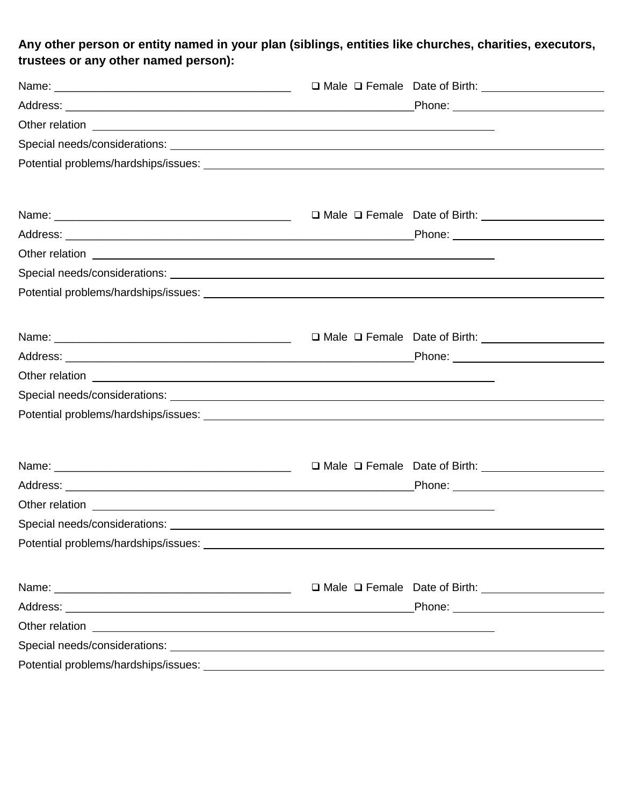**Any other person or entity named in your plan (siblings, entities like churches, charities, executors, trustees or any other named person):**

|  | □ Male □ Female Date of Birth: <u>_________________________</u> |  |
|--|-----------------------------------------------------------------|--|
|  | Phone: ___________________________                              |  |
|  |                                                                 |  |
|  |                                                                 |  |
|  |                                                                 |  |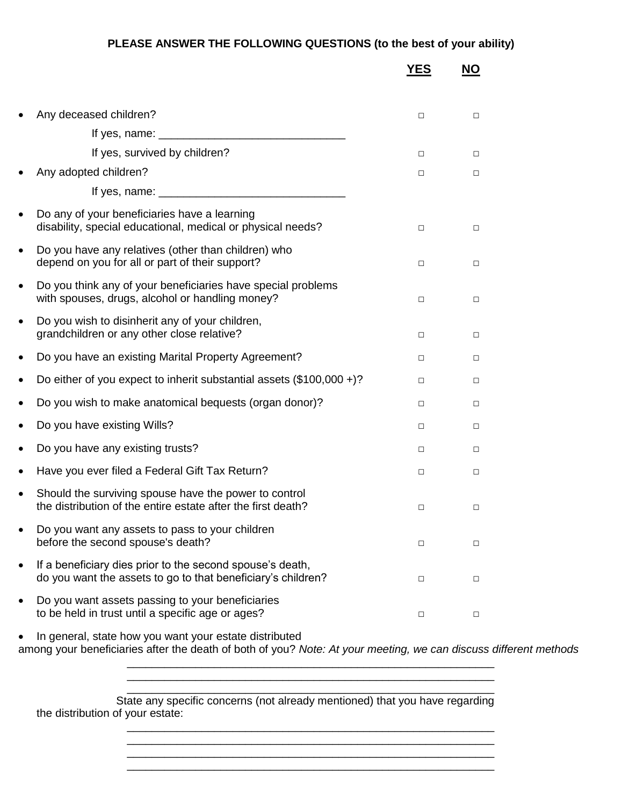#### **PLEASE ANSWER THE FOLLOWING QUESTIONS (to the best of your ability)**

|           |                                                                                                                           | <b>YES</b> | <b>NO</b> |
|-----------|---------------------------------------------------------------------------------------------------------------------------|------------|-----------|
|           |                                                                                                                           |            |           |
|           | Any deceased children?                                                                                                    | $\Box$     | $\Box$    |
|           |                                                                                                                           |            |           |
|           | If yes, survived by children?                                                                                             | $\Box$     | $\Box$    |
|           | Any adopted children?                                                                                                     | $\Box$     | $\Box$    |
|           |                                                                                                                           |            |           |
|           | Do any of your beneficiaries have a learning<br>disability, special educational, medical or physical needs?               | $\Box$     | $\Box$    |
|           | Do you have any relatives (other than children) who<br>depend on you for all or part of their support?                    | $\Box$     | $\Box$    |
| $\bullet$ | Do you think any of your beneficiaries have special problems<br>with spouses, drugs, alcohol or handling money?           | $\Box$     | $\Box$    |
|           | Do you wish to disinherit any of your children,<br>grandchildren or any other close relative?                             | $\Box$     | $\Box$    |
|           | Do you have an existing Marital Property Agreement?                                                                       | $\Box$     | $\Box$    |
|           | Do either of you expect to inherit substantial assets $(\$100,000 +)?$                                                    | $\Box$     | $\Box$    |
|           | Do you wish to make anatomical bequests (organ donor)?                                                                    | $\Box$     | $\Box$    |
|           | Do you have existing Wills?                                                                                               | $\Box$     | □         |
|           | Do you have any existing trusts?                                                                                          | $\Box$     | $\Box$    |
|           | Have you ever filed a Federal Gift Tax Return?                                                                            | □          | □         |
|           | Should the surviving spouse have the power to control<br>the distribution of the entire estate after the first death?     | $\Box$     | $\Box$    |
|           | Do you want any assets to pass to your children<br>before the second spouse's death?                                      | $\Box$     | $\Box$    |
|           | If a beneficiary dies prior to the second spouse's death,<br>do you want the assets to go to that beneficiary's children? | $\Box$     | $\Box$    |
|           | Do you want assets passing to your beneficiaries<br>to be held in trust until a specific age or ages?                     | $\Box$     | $\Box$    |

• In general, state how you want your estate distributed among your beneficiaries after the death of both of you? *Note: At your meeting, we can discuss different methods*  $\frac{1}{2}$  ,  $\frac{1}{2}$  ,  $\frac{1}{2}$  ,  $\frac{1}{2}$  ,  $\frac{1}{2}$  ,  $\frac{1}{2}$  ,  $\frac{1}{2}$  ,  $\frac{1}{2}$  ,  $\frac{1}{2}$  ,  $\frac{1}{2}$  ,  $\frac{1}{2}$  ,  $\frac{1}{2}$  ,  $\frac{1}{2}$  ,  $\frac{1}{2}$  ,  $\frac{1}{2}$  ,  $\frac{1}{2}$  ,  $\frac{1}{2}$  ,  $\frac{1}{2}$  ,  $\frac{1$ 

> $\mathcal{L}_\text{max}$  , and the contract of the contract of the contract of the contract of the contract of the contract of the contract of the contract of the contract of the contract of the contract of the contract of the contr \_\_\_\_\_\_\_\_\_\_\_\_\_\_\_\_\_\_\_\_\_\_\_\_\_\_\_\_\_\_\_\_\_\_\_\_\_\_\_\_\_\_\_\_\_\_\_\_\_\_\_\_\_\_\_\_\_\_\_

> \_\_\_\_\_\_\_\_\_\_\_\_\_\_\_\_\_\_\_\_\_\_\_\_\_\_\_\_\_\_\_\_\_\_\_\_\_\_\_\_\_\_\_\_\_\_\_\_\_\_\_\_\_\_\_\_\_\_\_

\_\_\_\_\_\_\_\_\_\_\_\_\_\_\_\_\_\_\_\_\_\_\_\_\_\_\_\_\_\_\_\_\_\_\_\_\_\_\_\_\_\_\_\_\_\_\_\_\_\_\_\_\_\_\_\_\_\_\_ \_\_\_\_\_\_\_\_\_\_\_\_\_\_\_\_\_\_\_\_\_\_\_\_\_\_\_\_\_\_\_\_\_\_\_\_\_\_\_\_\_\_\_\_\_\_\_\_\_\_\_\_\_\_\_\_\_\_\_

State any specific concerns (not already mentioned) that you have regarding the distribution of your estate: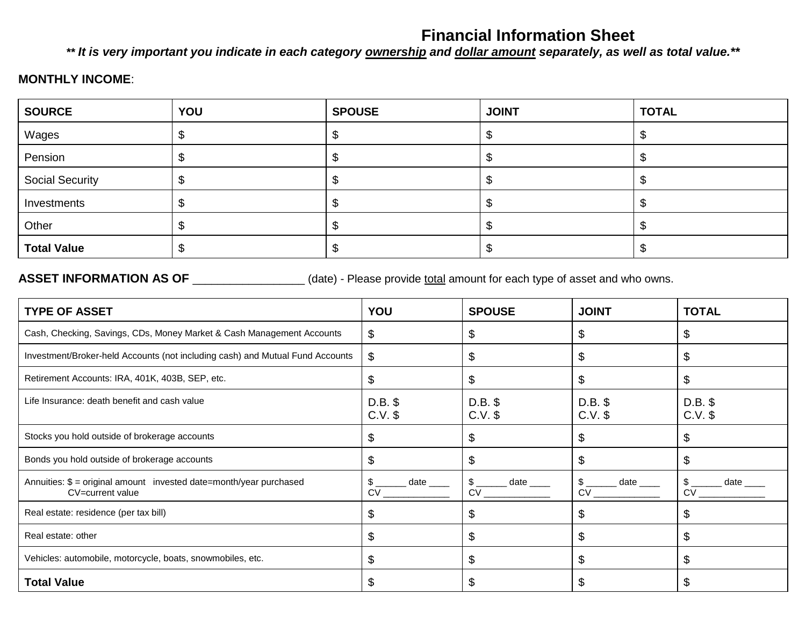## **Financial Information Sheet**

*\*\* It is very important you indicate in each category ownership and dollar amount separately, as well as total value.\*\**

#### **MONTHLY INCOME**:

| <b>SOURCE</b>          | YOU | <b>SPOUSE</b> | <b>JOINT</b> | <b>TOTAL</b> |
|------------------------|-----|---------------|--------------|--------------|
| Wages                  |     |               |              |              |
| Pension                |     |               |              |              |
| <b>Social Security</b> |     |               |              |              |
| Investments            |     |               |              |              |
| Other                  |     |               |              |              |
| <b>Total Value</b>     |     |               |              |              |

### **ASSET INFORMATION AS OF** \_\_\_\_\_\_\_\_\_\_\_\_\_\_\_\_\_\_ (date) - Please provide total amount for each type of asset and who owns.

| <b>TYPE OF ASSET</b>                                                                     | YOU                    | <b>SPOUSE</b>                | <b>JOINT</b>                   | <b>TOTAL</b>           |
|------------------------------------------------------------------------------------------|------------------------|------------------------------|--------------------------------|------------------------|
| Cash, Checking, Savings, CDs, Money Market & Cash Management Accounts                    | \$                     | \$                           | S                              |                        |
| Investment/Broker-held Accounts (not including cash) and Mutual Fund Accounts            | \$                     | \$                           | \$                             |                        |
| Retirement Accounts: IRA, 401K, 403B, SEP, etc.                                          | S                      | \$                           |                                | £.                     |
| Life Insurance: death benefit and cash value                                             | $D.B.$ \$<br>$C.V.$ \$ | $D.B.$ \$<br>C.V.            | $D.B.$ \$<br>C.V.              | $D.B.$ \$<br>$C.V.$ \$ |
| Stocks you hold outside of brokerage accounts                                            | \$                     | \$                           | \$                             | \$                     |
| Bonds you hold outside of brokerage accounts                                             | \$                     | \$                           | \$                             | S                      |
| Annuities: $$ = original amount invested date = month/year purchase$<br>CV=current value | date<br>S<br><b>CV</b> | date ____<br>\$<br><b>CV</b> | __ date ___<br>CV <sub>2</sub> | date<br>CV             |
| Real estate: residence (per tax bill)                                                    | S                      | \$                           | \$                             |                        |
| Real estate: other                                                                       | S                      | \$                           | æ.                             |                        |
| Vehicles: automobile, motorcycle, boats, snowmobiles, etc.                               | \$                     | \$                           |                                |                        |
| <b>Total Value</b>                                                                       |                        | \$                           |                                |                        |